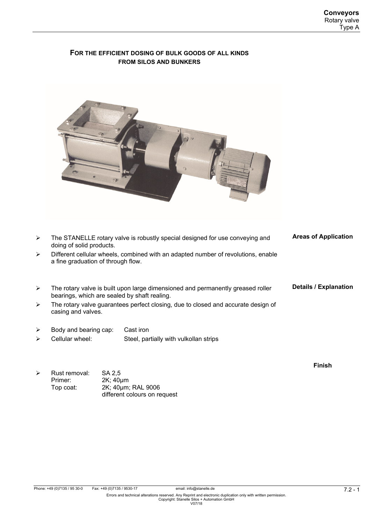## **FOR THE EFFICIENT DOSING OF BULK GOODS OF ALL KINDS FROM SILOS AND BUNKERS**



- $\triangleright$  The STANELLE rotary valve is robustly special designed for use conveying and doing of solid products.  $\triangleright$  Different cellular wheels, combined with an adapted number of revolutions, enable a fine graduation of through flow. **Areas of Application**
- $\triangleright$  The rotary valve is built upon large dimensioned and permanently greased roller bearings, which are sealed by shaft realing. **Details / Explanation**
- $\triangleright$  The rotary valve guarantees perfect closing, due to closed and accurate design of casing and valves.
- $\triangleright$  Body and bearing cap: Cast iron
- Cellular wheel: Steel, partially with vulkollan strips
- $\triangleright$  Rust removal: SA 2,5 Primer: 2K; 40µm Top coat: 2K; 40µm; RAL 9006 different colours on request

**Finish**